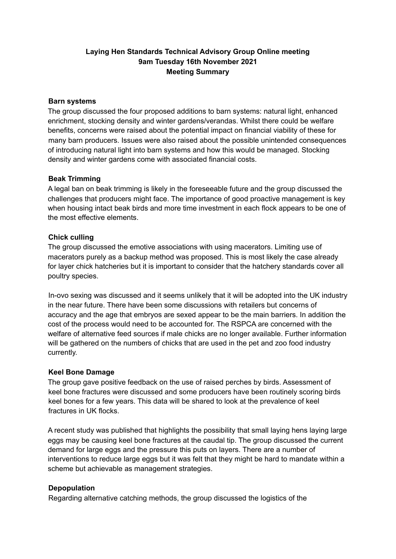# **Laying Hen Standards Technical Advisory Group Online meeting 9am Tuesday 16th November 2021 Meeting Summary**

#### **Barn systems**

The group discussed the four proposed additions to barn systems: natural light, enhanced enrichment, stocking density and winter gardens/verandas. Whilst there could be welfare benefits, concerns were raised about the potential impact on financial viability of these for many barn producers. Issues were also raised about the possible unintended consequences of introducing natural light into barn systems and how this would be managed. Stocking density and winter gardens come with associated financial costs.

### **Beak Trimming**

A legal ban on beak trimming is likely in the foreseeable future and the group discussed the challenges that producers might face. The importance of good proactive management is key when housing intact beak birds and more time investment in each flock appears to be one of the most effective elements.

## **Chick culling**

The group discussed the emotive associations with using macerators. Limiting use of macerators purely as a backup method was proposed. This is most likely the case already for layer chick hatcheries but it is important to consider that the hatchery standards cover all poultry species.

In-ovo sexing was discussed and it seems unlikely that it will be adopted into the UK industry in the near future. There have been some discussions with retailers but concerns of accuracy and the age that embryos are sexed appear to be the main barriers. In addition the cost of the process would need to be accounted for. The RSPCA are concerned with the welfare of alternative feed sources if male chicks are no longer available. Further information will be gathered on the numbers of chicks that are used in the pet and zoo food industry currently.

#### **Keel Bone Damage**

The group gave positive feedback on the use of raised perches by birds. Assessment of keel bone fractures were discussed and some producers have been routinely scoring birds keel bones for a few years. This data will be shared to look at the prevalence of keel fractures in UK flocks.

A recent study was published that highlights the possibility that small laying hens laying large eggs may be causing keel bone fractures at the caudal tip. The group discussed the current demand for large eggs and the pressure this puts on layers. There are a number of interventions to reduce large eggs but it was felt that they might be hard to mandate within a scheme but achievable as management strategies.

## **Depopulation**

Regarding alternative catching methods, the group discussed the logistics of the